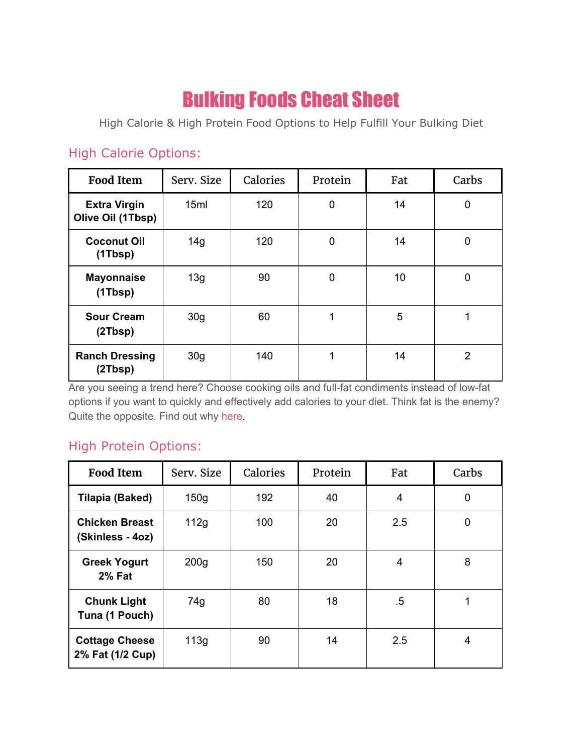## Bulking Foods Cheat Sheet

High Calorie & High Protein Food Options to Help Fulfill Your Bulking Diet

## High Calorie Options:

| <b>Food Item</b>                         | Serv. Size      | Calories | Protein | Fat | Carbs          |
|------------------------------------------|-----------------|----------|---------|-----|----------------|
| <b>Extra Virgin</b><br>Olive Oil (1Tbsp) | 15ml            | 120      | 0       | 14  | $\mathbf 0$    |
| <b>Coconut Oil</b><br>(1Tbsp)            | 14g             | 120      | 0       | 14  | $\mathbf 0$    |
| <b>Mayonnaise</b><br>(1Tbsp)             | 13g             | 90       | 0       | 10  | $\mathbf 0$    |
| <b>Sour Cream</b><br>(2Tbsp)             | 30 <sub>g</sub> | 60       | 1       | 5   | 1              |
| <b>Ranch Dressing</b><br>(2Tbsp)         | 30 <sub>g</sub> | 140      | 1       | 14  | $\overline{2}$ |

Are you seeing a trend here? Choose cooking oils and full-fat condiments instead of low-fat options if you want to quickly and effectively add calories to your diet. Think fat is the enemy? Quite the opposite. Find out why [here.](https://musclemattersblog.com/2017/01/27/whos-counting/#Fat)

## High Protein Options:

| <b>Food Item</b>                          | Serv. Size       | Calories | Protein | Fat | Carbs |
|-------------------------------------------|------------------|----------|---------|-----|-------|
| Tilapia (Baked)                           | 150 <sub>g</sub> | 192      | 40      | 4   | 0     |
| <b>Chicken Breast</b><br>(Skinless - 4oz) | 112g             | 100      | 20      | 2.5 | 0     |
| <b>Greek Yogurt</b><br><b>2% Fat</b>      | 200 <sub>g</sub> | 150      | 20      | 4   | 8     |
| <b>Chunk Light</b><br>Tuna (1 Pouch)      | 74g              | 80       | 18      | .5  | 1     |
| <b>Cottage Cheese</b><br>2% Fat (1/2 Cup) | 113g             | 90       | 14      | 2.5 | 4     |